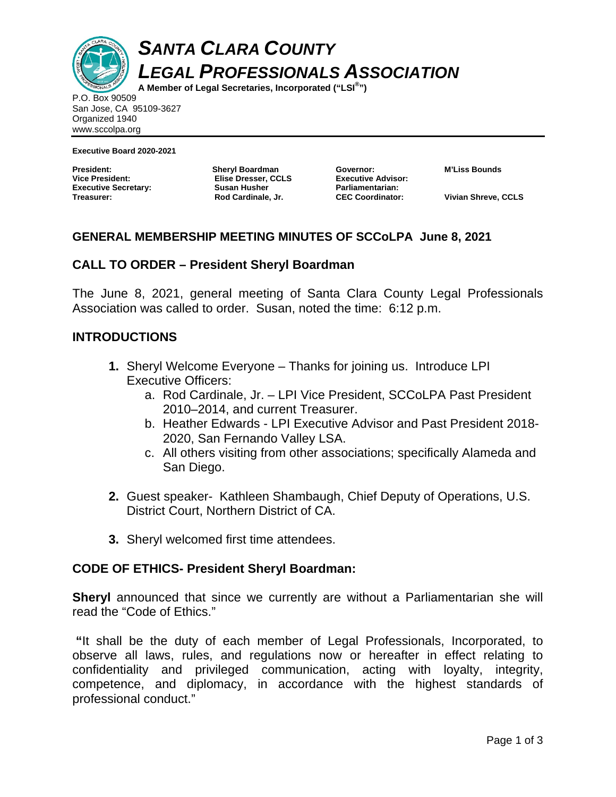

*SANTA CLARA COUNTY LEGAL PROFESSIONALS ASSOCIATION* 

**A Member of Legal Secretaries, Incorporated ("LSI® ")** 

P.O. Box 90509 San Jose, CA 95109-3627 Organized 1940 www.sccolpa.org

**Executive Board 2020-2021** 

**President: Sheryl Boardman Executive Secretary:** Susan Husher **Treasurer: Rod Cardinale, Jr.** 

**Elise Dresser, CCLS** 

**Governor: M'Liss Bounds Executive Advisor: Parliamentarian:** 

**CEC Coordinator: Vivian Shreve, CCLS** 

## **GENERAL MEMBERSHIP MEETING MINUTES OF SCCoLPA June 8, 2021**

## **CALL TO ORDER – President Sheryl Boardman**

The June 8, 2021, general meeting of Santa Clara County Legal Professionals Association was called to order. Susan, noted the time: 6:12 p.m.

## **INTRODUCTIONS**

- **1.** Sheryl Welcome Everyone Thanks for joining us. Introduce LPI Executive Officers:
	- a. Rod Cardinale, Jr. LPI Vice President, SCCoLPA Past President 2010–2014, and current Treasurer.
	- b. Heather Edwards LPI Executive Advisor and Past President 2018- 2020, San Fernando Valley LSA.
	- c. All others visiting from other associations; specifically Alameda and San Diego.
- **2.** Guest speaker- Kathleen Shambaugh, Chief Deputy of Operations, U.S. District Court, Northern District of CA.
- **3.** Sheryl welcomed first time attendees.

## **CODE OF ETHICS- President Sheryl Boardman:**

**Sheryl** announced that since we currently are without a Parliamentarian she will read the "Code of Ethics."

**"**It shall be the duty of each member of Legal Professionals, Incorporated, to observe all laws, rules, and regulations now or hereafter in effect relating to confidentiality and privileged communication, acting with loyalty, integrity, competence, and diplomacy, in accordance with the highest standards of professional conduct."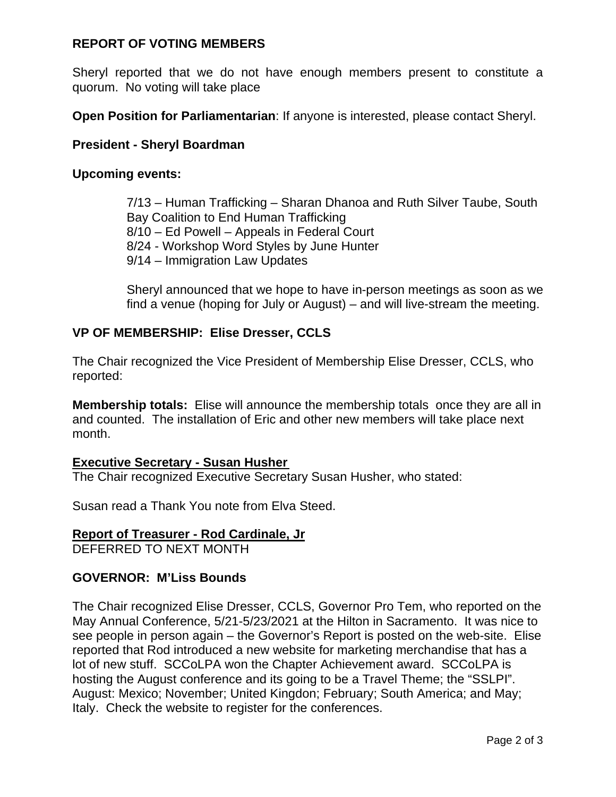# **REPORT OF VOTING MEMBERS**

Sheryl reported that we do not have enough members present to constitute a quorum. No voting will take place

**Open Position for Parliamentarian**: If anyone is interested, please contact Sheryl.

### **President - Sheryl Boardman**

#### **Upcoming events:**

7/13 – Human Trafficking – Sharan Dhanoa and Ruth Silver Taube, South Bay Coalition to End Human Trafficking 8/10 – Ed Powell – Appeals in Federal Court 8/24 - Workshop Word Styles by June Hunter 9/14 – Immigration Law Updates

Sheryl announced that we hope to have in-person meetings as soon as we find a venue (hoping for July or August) – and will live-stream the meeting.

## **VP OF MEMBERSHIP: Elise Dresser, CCLS**

The Chair recognized the Vice President of Membership Elise Dresser, CCLS, who reported:

**Membership totals:** Elise will announce the membership totals once they are all in and counted. The installation of Eric and other new members will take place next month.

#### **Executive Secretary - Susan Husher**

The Chair recognized Executive Secretary Susan Husher, who stated:

Susan read a Thank You note from Elva Steed.

#### **Report of Treasurer - Rod Cardinale, Jr**  DEFERRED TO NEXT MONTH

## **GOVERNOR: M'Liss Bounds**

The Chair recognized Elise Dresser, CCLS, Governor Pro Tem, who reported on the May Annual Conference, 5/21-5/23/2021 at the Hilton in Sacramento. It was nice to see people in person again – the Governor's Report is posted on the web-site. Elise reported that Rod introduced a new website for marketing merchandise that has a lot of new stuff. SCCoLPA won the Chapter Achievement award. SCCoLPA is hosting the August conference and its going to be a Travel Theme; the "SSLPI". August: Mexico; November; United Kingdon; February; South America; and May; Italy. Check the website to register for the conferences.